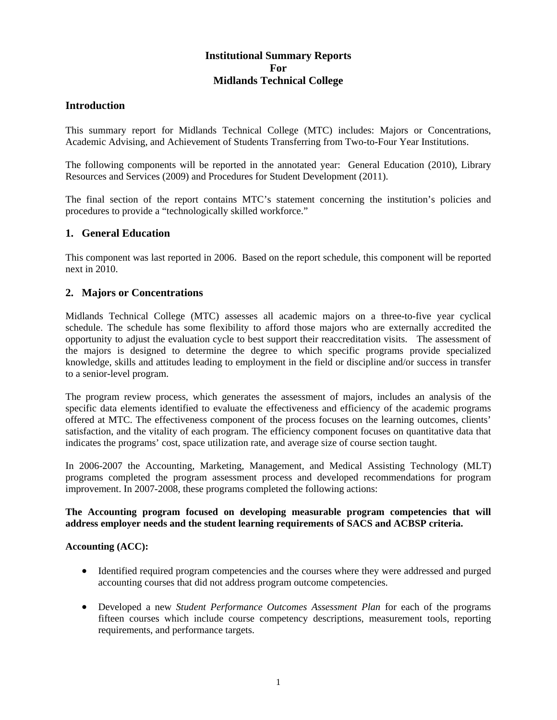# **Institutional Summary Reports For Midlands Technical College**

# **Introduction**

This summary report for Midlands Technical College (MTC) includes: Majors or Concentrations, Academic Advising, and Achievement of Students Transferring from Two-to-Four Year Institutions.

The following components will be reported in the annotated year: General Education (2010), Library Resources and Services (2009) and Procedures for Student Development (2011).

The final section of the report contains MTC's statement concerning the institution's policies and procedures to provide a "technologically skilled workforce."

### **1. General Education**

This component was last reported in 2006. Based on the report schedule, this component will be reported next in 2010.

# **2. Majors or Concentrations**

Midlands Technical College (MTC) assesses all academic majors on a three-to-five year cyclical schedule. The schedule has some flexibility to afford those majors who are externally accredited the opportunity to adjust the evaluation cycle to best support their reaccreditation visits. The assessment of the majors is designed to determine the degree to which specific programs provide specialized knowledge, skills and attitudes leading to employment in the field or discipline and/or success in transfer to a senior-level program.

The program review process, which generates the assessment of majors, includes an analysis of the specific data elements identified to evaluate the effectiveness and efficiency of the academic programs offered at MTC. The effectiveness component of the process focuses on the learning outcomes, clients' satisfaction, and the vitality of each program. The efficiency component focuses on quantitative data that indicates the programs' cost, space utilization rate, and average size of course section taught.

In 2006-2007 the Accounting, Marketing, Management, and Medical Assisting Technology (MLT) programs completed the program assessment process and developed recommendations for program improvement. In 2007-2008, these programs completed the following actions:

### **The Accounting program focused on developing measurable program competencies that will address employer needs and the student learning requirements of SACS and ACBSP criteria.**

### **Accounting (ACC):**

- Identified required program competencies and the courses where they were addressed and purged accounting courses that did not address program outcome competencies.
- Developed a new *Student Performance Outcomes Assessment Plan* for each of the programs fifteen courses which include course competency descriptions, measurement tools, reporting requirements, and performance targets.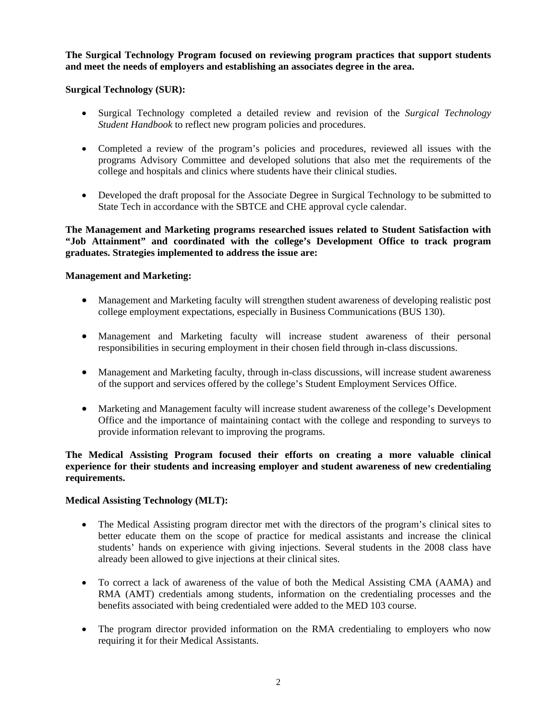**The Surgical Technology Program focused on reviewing program practices that support students and meet the needs of employers and establishing an associates degree in the area.** 

### **Surgical Technology (SUR):**

- Surgical Technology completed a detailed review and revision of the *Surgical Technology Student Handbook* to reflect new program policies and procedures.
- Completed a review of the program's policies and procedures, reviewed all issues with the programs Advisory Committee and developed solutions that also met the requirements of the college and hospitals and clinics where students have their clinical studies.
- Developed the draft proposal for the Associate Degree in Surgical Technology to be submitted to State Tech in accordance with the SBTCE and CHE approval cycle calendar.

**The Management and Marketing programs researched issues related to Student Satisfaction with "Job Attainment" and coordinated with the college's Development Office to track program graduates. Strategies implemented to address the issue are:** 

#### **Management and Marketing:**

- Management and Marketing faculty will strengthen student awareness of developing realistic post college employment expectations, especially in Business Communications (BUS 130).
- Management and Marketing faculty will increase student awareness of their personal responsibilities in securing employment in their chosen field through in-class discussions.
- Management and Marketing faculty, through in-class discussions, will increase student awareness of the support and services offered by the college's Student Employment Services Office.
- Marketing and Management faculty will increase student awareness of the college's Development Office and the importance of maintaining contact with the college and responding to surveys to provide information relevant to improving the programs.

### **The Medical Assisting Program focused their efforts on creating a more valuable clinical experience for their students and increasing employer and student awareness of new credentialing requirements.**

#### **Medical Assisting Technology (MLT):**

- The Medical Assisting program director met with the directors of the program's clinical sites to better educate them on the scope of practice for medical assistants and increase the clinical students' hands on experience with giving injections. Several students in the 2008 class have already been allowed to give injections at their clinical sites.
- To correct a lack of awareness of the value of both the Medical Assisting CMA (AAMA) and RMA (AMT) credentials among students, information on the credentialing processes and the benefits associated with being credentialed were added to the MED 103 course.
- The program director provided information on the RMA credentialing to employers who now requiring it for their Medical Assistants.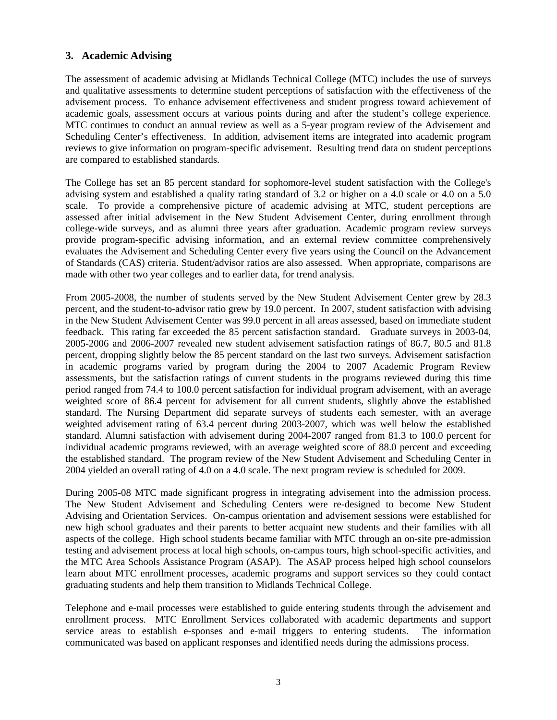# **3. Academic Advising**

The assessment of academic advising at Midlands Technical College (MTC) includes the use of surveys and qualitative assessments to determine student perceptions of satisfaction with the effectiveness of the advisement process. To enhance advisement effectiveness and student progress toward achievement of academic goals, assessment occurs at various points during and after the student's college experience. MTC continues to conduct an annual review as well as a 5-year program review of the Advisement and Scheduling Center's effectiveness. In addition, advisement items are integrated into academic program reviews to give information on program-specific advisement. Resulting trend data on student perceptions are compared to established standards.

The College has set an 85 percent standard for sophomore-level student satisfaction with the College's advising system and established a quality rating standard of 3.2 or higher on a 4.0 scale or 4.0 on a 5.0 scale. To provide a comprehensive picture of academic advising at MTC, student perceptions are assessed after initial advisement in the New Student Advisement Center, during enrollment through college-wide surveys, and as alumni three years after graduation. Academic program review surveys provide program-specific advising information, and an external review committee comprehensively evaluates the Advisement and Scheduling Center every five years using the Council on the Advancement of Standards (CAS) criteria. Student/advisor ratios are also assessed. When appropriate, comparisons are made with other two year colleges and to earlier data, for trend analysis.

From 2005-2008, the number of students served by the New Student Advisement Center grew by 28.3 percent, and the student-to-advisor ratio grew by 19.0 percent. In 2007, student satisfaction with advising in the New Student Advisement Center was 99.0 percent in all areas assessed, based on immediate student feedback. This rating far exceeded the 85 percent satisfaction standard. Graduate surveys in 2003-04, 2005-2006 and 2006-2007 revealed new student advisement satisfaction ratings of 86.7, 80.5 and 81.8 percent, dropping slightly below the 85 percent standard on the last two surveys. Advisement satisfaction in academic programs varied by program during the 2004 to 2007 Academic Program Review assessments, but the satisfaction ratings of current students in the programs reviewed during this time period ranged from 74.4 to 100.0 percent satisfaction for individual program advisement, with an average weighted score of 86.4 percent for advisement for all current students, slightly above the established standard. The Nursing Department did separate surveys of students each semester, with an average weighted advisement rating of 63.4 percent during 2003-2007, which was well below the established standard. Alumni satisfaction with advisement during 2004-2007 ranged from 81.3 to 100.0 percent for individual academic programs reviewed, with an average weighted score of 88.0 percent and exceeding the established standard. The program review of the New Student Advisement and Scheduling Center in 2004 yielded an overall rating of 4.0 on a 4.0 scale. The next program review is scheduled for 2009.

During 2005-08 MTC made significant progress in integrating advisement into the admission process. The New Student Advisement and Scheduling Centers were re-designed to become New Student Advising and Orientation Services. On-campus orientation and advisement sessions were established for new high school graduates and their parents to better acquaint new students and their families with all aspects of the college. High school students became familiar with MTC through an on-site pre-admission testing and advisement process at local high schools, on-campus tours, high school-specific activities, and the MTC Area Schools Assistance Program (ASAP). The ASAP process helped high school counselors learn about MTC enrollment processes, academic programs and support services so they could contact graduating students and help them transition to Midlands Technical College.

Telephone and e-mail processes were established to guide entering students through the advisement and enrollment process. MTC Enrollment Services collaborated with academic departments and support service areas to establish e-sponses and e-mail triggers to entering students. The information communicated was based on applicant responses and identified needs during the admissions process.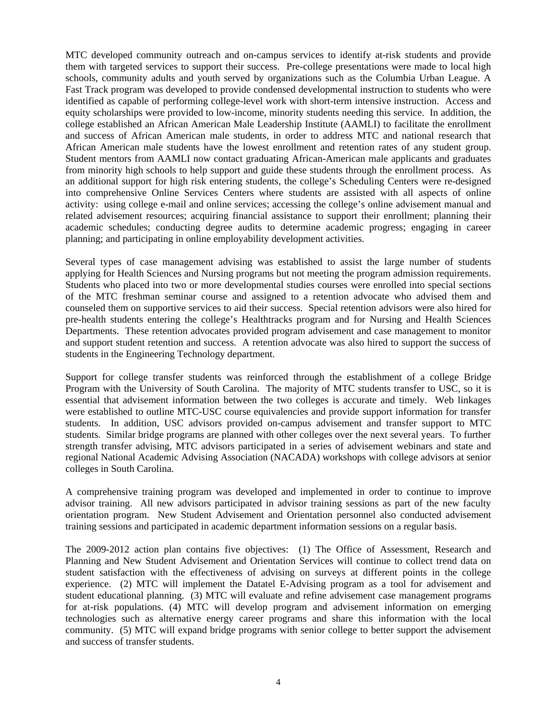MTC developed community outreach and on-campus services to identify at-risk students and provide them with targeted services to support their success. Pre-college presentations were made to local high schools, community adults and youth served by organizations such as the Columbia Urban League. A Fast Track program was developed to provide condensed developmental instruction to students who were identified as capable of performing college-level work with short-term intensive instruction. Access and equity scholarships were provided to low-income, minority students needing this service. In addition, the college established an African American Male Leadership Institute (AAMLI) to facilitate the enrollment and success of African American male students, in order to address MTC and national research that African American male students have the lowest enrollment and retention rates of any student group. Student mentors from AAMLI now contact graduating African-American male applicants and graduates from minority high schools to help support and guide these students through the enrollment process. As an additional support for high risk entering students, the college's Scheduling Centers were re-designed into comprehensive Online Services Centers where students are assisted with all aspects of online activity: using college e-mail and online services; accessing the college's online advisement manual and related advisement resources; acquiring financial assistance to support their enrollment; planning their academic schedules; conducting degree audits to determine academic progress; engaging in career planning; and participating in online employability development activities.

Several types of case management advising was established to assist the large number of students applying for Health Sciences and Nursing programs but not meeting the program admission requirements. Students who placed into two or more developmental studies courses were enrolled into special sections of the MTC freshman seminar course and assigned to a retention advocate who advised them and counseled them on supportive services to aid their success. Special retention advisors were also hired for pre-health students entering the college's Healthtracks program and for Nursing and Health Sciences Departments. These retention advocates provided program advisement and case management to monitor and support student retention and success. A retention advocate was also hired to support the success of students in the Engineering Technology department.

Support for college transfer students was reinforced through the establishment of a college Bridge Program with the University of South Carolina. The majority of MTC students transfer to USC, so it is essential that advisement information between the two colleges is accurate and timely. Web linkages were established to outline MTC-USC course equivalencies and provide support information for transfer students. In addition, USC advisors provided on-campus advisement and transfer support to MTC students. Similar bridge programs are planned with other colleges over the next several years. To further strength transfer advising, MTC advisors participated in a series of advisement webinars and state and regional National Academic Advising Association (NACADA) workshops with college advisors at senior colleges in South Carolina.

A comprehensive training program was developed and implemented in order to continue to improve advisor training. All new advisors participated in advisor training sessions as part of the new faculty orientation program. New Student Advisement and Orientation personnel also conducted advisement training sessions and participated in academic department information sessions on a regular basis.

The 2009-2012 action plan contains five objectives: (1) The Office of Assessment, Research and Planning and New Student Advisement and Orientation Services will continue to collect trend data on student satisfaction with the effectiveness of advising on surveys at different points in the college experience. (2) MTC will implement the Datatel E-Advising program as a tool for advisement and student educational planning. (3) MTC will evaluate and refine advisement case management programs for at-risk populations. (4) MTC will develop program and advisement information on emerging technologies such as alternative energy career programs and share this information with the local community. (5) MTC will expand bridge programs with senior college to better support the advisement and success of transfer students.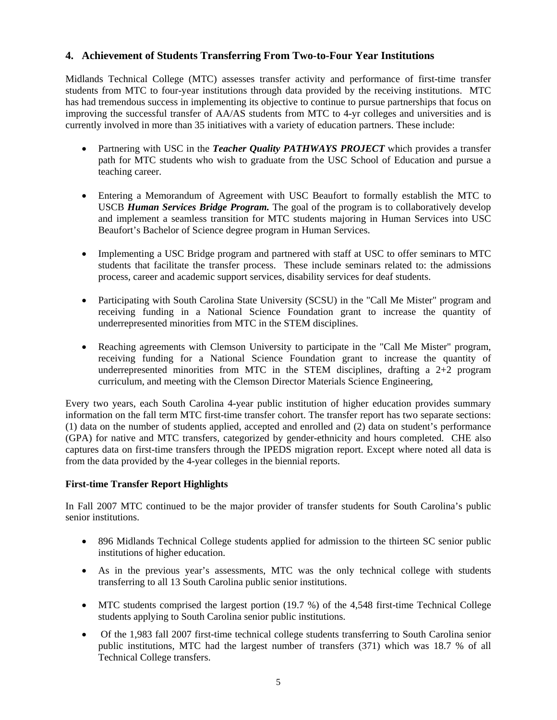# **4. Achievement of Students Transferring From Two-to-Four Year Institutions**

Midlands Technical College (MTC) assesses transfer activity and performance of first-time transfer students from MTC to four-year institutions through data provided by the receiving institutions. MTC has had tremendous success in implementing its objective to continue to pursue partnerships that focus on improving the successful transfer of AA/AS students from MTC to 4-yr colleges and universities and is currently involved in more than 35 initiatives with a variety of education partners. These include:

- Partnering with USC in the *Teacher Quality PATHWAYS PROJECT* which provides a transfer path for MTC students who wish to graduate from the USC School of Education and pursue a teaching career.
- Entering a Memorandum of Agreement with USC Beaufort to formally establish the MTC to USCB *Human Services Bridge Program.* The goal of the program is to collaboratively develop and implement a seamless transition for MTC students majoring in Human Services into USC Beaufort's Bachelor of Science degree program in Human Services.
- Implementing a USC Bridge program and partnered with staff at USC to offer seminars to MTC students that facilitate the transfer process. These include seminars related to: the admissions process, career and academic support services, disability services for deaf students.
- Participating with South Carolina State University (SCSU) in the "Call Me Mister" program and receiving funding in a National Science Foundation grant to increase the quantity of underrepresented minorities from MTC in the STEM disciplines.
- Reaching agreements with Clemson University to participate in the "Call Me Mister" program, receiving funding for a National Science Foundation grant to increase the quantity of underrepresented minorities from MTC in the STEM disciplines, drafting a 2+2 program curriculum, and meeting with the Clemson Director Materials Science Engineering,

Every two years, each South Carolina 4-year public institution of higher education provides summary information on the fall term MTC first-time transfer cohort. The transfer report has two separate sections: (1) data on the number of students applied, accepted and enrolled and (2) data on student's performance (GPA) for native and MTC transfers, categorized by gender-ethnicity and hours completed. CHE also captures data on first-time transfers through the IPEDS migration report. Except where noted all data is from the data provided by the 4-year colleges in the biennial reports.

### **First-time Transfer Report Highlights**

In Fall 2007 MTC continued to be the major provider of transfer students for South Carolina's public senior institutions.

- 896 Midlands Technical College students applied for admission to the thirteen SC senior public institutions of higher education.
- As in the previous year's assessments, MTC was the only technical college with students transferring to all 13 South Carolina public senior institutions.
- MTC students comprised the largest portion (19.7 %) of the 4,548 first-time Technical College students applying to South Carolina senior public institutions.
- Of the 1,983 fall 2007 first-time technical college students transferring to South Carolina senior public institutions, MTC had the largest number of transfers (371) which was 18.7 % of all Technical College transfers.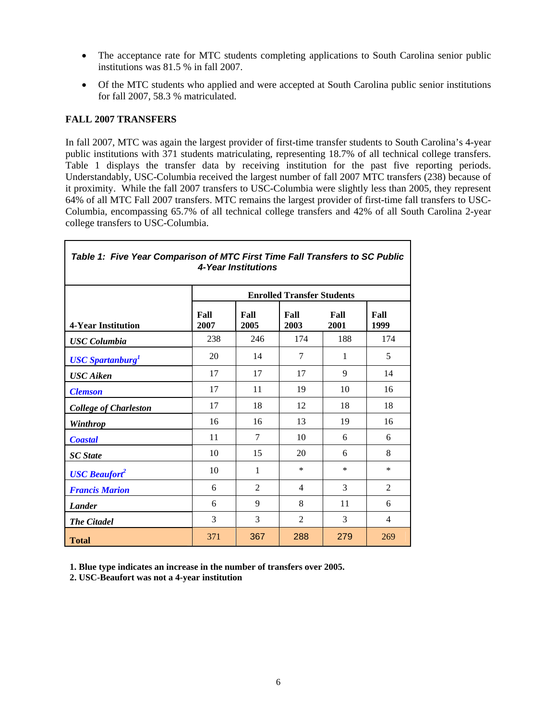- The acceptance rate for MTC students completing applications to South Carolina senior public institutions was 81.5 % in fall 2007.
- Of the MTC students who applied and were accepted at South Carolina public senior institutions for fall 2007, 58.3 % matriculated.

### **FALL 2007 TRANSFERS**

In fall 2007, MTC was again the largest provider of first-time transfer students to South Carolina's 4-year public institutions with 371 students matriculating, representing 18.7% of all technical college transfers. Table 1 displays the transfer data by receiving institution for the past five reporting periods. Understandably, USC-Columbia received the largest number of fall 2007 MTC transfers (238) because of it proximity. While the fall 2007 transfers to USC-Columbia were slightly less than 2005, they represent 64% of all MTC Fall 2007 transfers. MTC remains the largest provider of first-time fall transfers to USC-Columbia, encompassing 65.7% of all technical college transfers and 42% of all South Carolina 2-year college transfers to USC-Columbia.

| Table 1: Five Year Comparison of MTC First Time Fall Transfers to SC Public<br>4-Year Institutions |              |                                   |                |              |                |  |  |  |
|----------------------------------------------------------------------------------------------------|--------------|-----------------------------------|----------------|--------------|----------------|--|--|--|
|                                                                                                    |              | <b>Enrolled Transfer Students</b> |                |              |                |  |  |  |
| <b>4-Year Institution</b>                                                                          | Fall<br>2007 | Fall<br>2005                      | Fall<br>2003   | Fall<br>2001 | Fall<br>1999   |  |  |  |
| <b>USC</b> Columbia                                                                                | 238          | 246                               | 174            | 188          | 174            |  |  |  |
| <b>USC Spartanburg</b>                                                                             | 20           | 14                                | 7              | 1            | 5              |  |  |  |
| <b>USC</b> Aiken                                                                                   | 17           | 17                                | 17             | 9            | 14             |  |  |  |
| <b>Clemson</b>                                                                                     | 17           | 11                                | 19             | 10           | 16             |  |  |  |
| <b>College of Charleston</b>                                                                       | 17           | 18                                | 12             | 18           | 18             |  |  |  |
| Winthrop                                                                                           | 16           | 16                                | 13             | 19           | 16             |  |  |  |
| <b>Coastal</b>                                                                                     | 11           | $\tau$                            | 10             | 6            | 6              |  |  |  |
| <b>SC</b> State                                                                                    | 10           | 15                                | 20             | 6            | 8              |  |  |  |
| <b>USC Beaufort</b>                                                                                | 10           | 1                                 | *              | *            | *              |  |  |  |
| <b>Francis Marion</b>                                                                              | 6            | 2                                 | $\overline{4}$ | 3            | 2              |  |  |  |
| <b>Lander</b>                                                                                      | 6            | 9                                 | 8              | 11           | 6              |  |  |  |
| <b>The Citadel</b>                                                                                 | 3            | 3                                 | $\overline{2}$ | 3            | $\overline{4}$ |  |  |  |
| <b>Total</b>                                                                                       | 371          | 367                               | 288            | 279          | 269            |  |  |  |

**1. Blue type indicates an increase in the number of transfers over 2005.** 

**2. USC-Beaufort was not a 4-year institution**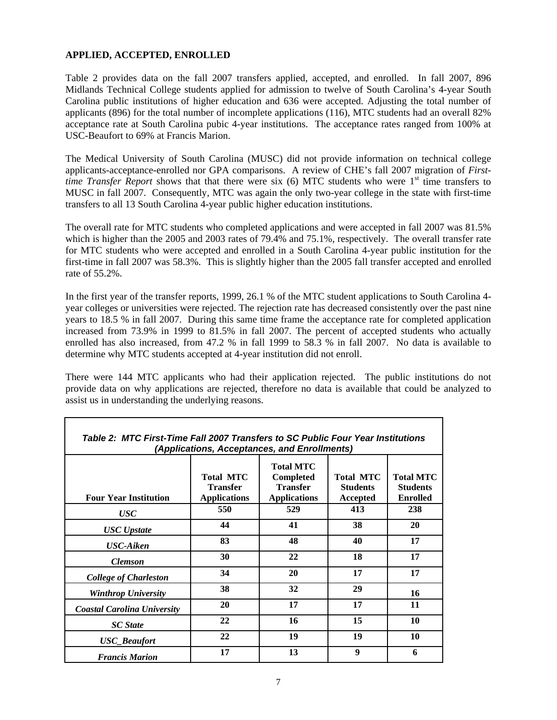# **APPLIED, ACCEPTED, ENROLLED**

Table 2 provides data on the fall 2007 transfers applied, accepted, and enrolled. In fall 2007, 896 Midlands Technical College students applied for admission to twelve of South Carolina's 4-year South Carolina public institutions of higher education and 636 were accepted. Adjusting the total number of applicants (896) for the total number of incomplete applications (116), MTC students had an overall 82% acceptance rate at South Carolina pubic 4-year institutions. The acceptance rates ranged from 100% at USC-Beaufort to 69% at Francis Marion.

The Medical University of South Carolina (MUSC) did not provide information on technical college applicants-acceptance-enrolled nor GPA comparisons. A review of CHE's fall 2007 migration of *Firsttime Transfer Report* shows that that there were six (6) MTC students who were 1<sup>st</sup> time transfers to MUSC in fall 2007. Consequently, MTC was again the only two-year college in the state with first-time transfers to all 13 South Carolina 4-year public higher education institutions.

The overall rate for MTC students who completed applications and were accepted in fall 2007 was 81.5% which is higher than the 2005 and 2003 rates of 79.4% and 75.1%, respectively. The overall transfer rate for MTC students who were accepted and enrolled in a South Carolina 4-year public institution for the first-time in fall 2007 was 58.3%. This is slightly higher than the 2005 fall transfer accepted and enrolled rate of 55.2%.

In the first year of the transfer reports, 1999, 26.1 % of the MTC student applications to South Carolina 4 year colleges or universities were rejected. The rejection rate has decreased consistently over the past nine years to 18.5 % in fall 2007. During this same time frame the acceptance rate for completed application increased from 73.9% in 1999 to 81.5% in fall 2007. The percent of accepted students who actually enrolled has also increased, from 47.2 % in fall 1999 to 58.3 % in fall 2007. No data is available to determine why MTC students accepted at 4-year institution did not enroll.

There were 144 MTC applicants who had their application rejected. The public institutions do not provide data on why applications are rejected, therefore no data is available that could be analyzed to assist us in understanding the underlying reasons.

| Table 2: MTC First-Time Fall 2007 Transfers to SC Public Four Year Institutions<br>(Applications, Acceptances, and Enrollments) |                                                            |                                                                                |                                                 |                                                        |  |  |  |  |
|---------------------------------------------------------------------------------------------------------------------------------|------------------------------------------------------------|--------------------------------------------------------------------------------|-------------------------------------------------|--------------------------------------------------------|--|--|--|--|
| <b>Four Year Institution</b>                                                                                                    | <b>Total MTC</b><br><b>Transfer</b><br><b>Applications</b> | <b>Total MTC</b><br><b>Completed</b><br><b>Transfer</b><br><b>Applications</b> | <b>Total MTC</b><br><b>Students</b><br>Accepted | <b>Total MTC</b><br><b>Students</b><br><b>Enrolled</b> |  |  |  |  |
| <b>USC</b>                                                                                                                      | 550                                                        | 529                                                                            | 413                                             | 238                                                    |  |  |  |  |
| <b>USC</b> Upstate                                                                                                              | 44                                                         | 41                                                                             | 38                                              | <b>20</b>                                              |  |  |  |  |
| <b>USC-Aiken</b>                                                                                                                | 83                                                         | 48                                                                             | 40                                              | 17                                                     |  |  |  |  |
| <b>Clemson</b>                                                                                                                  | 30                                                         | 22                                                                             | 18                                              | 17                                                     |  |  |  |  |
| <b>College of Charleston</b>                                                                                                    | 34                                                         | 20                                                                             | 17                                              | 17                                                     |  |  |  |  |
| <b>Winthrop University</b>                                                                                                      | 38                                                         | 32                                                                             | 29                                              | 16                                                     |  |  |  |  |
| <b>Coastal Carolina University</b>                                                                                              | 20                                                         | 17                                                                             | 17                                              | 11                                                     |  |  |  |  |
| <b>SC</b> State                                                                                                                 | 22                                                         | 16                                                                             | 15                                              | 10                                                     |  |  |  |  |
| <b>USC_Beaufort</b>                                                                                                             | 22                                                         | 19                                                                             | 19                                              | 10                                                     |  |  |  |  |
| <b>Francis Marion</b>                                                                                                           | 17                                                         | 13                                                                             | 9                                               | 6                                                      |  |  |  |  |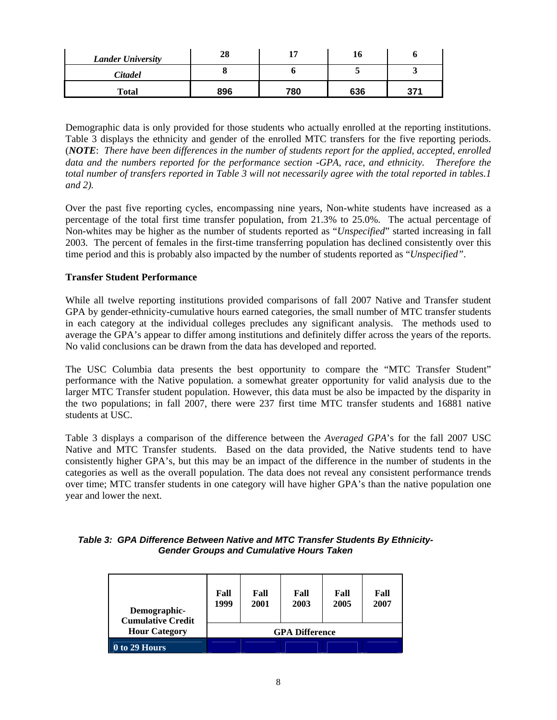| <b>Lander University</b> | 28  |     | 10  |      |
|--------------------------|-----|-----|-----|------|
| Citadel                  |     |     |     |      |
| <b>Total</b>             | 896 | 780 | 636 | י כפ |

Demographic data is only provided for those students who actually enrolled at the reporting institutions. Table 3 displays the ethnicity and gender of the enrolled MTC transfers for the five reporting periods. (*NOTE*: *There have been differences in the number of students report for the applied, accepted, enrolled data and the numbers reported for the performance section -GPA, race, and ethnicity. Therefore the total number of transfers reported in Table 3 will not necessarily agree with the total reported in tables.1 and 2).*

Over the past five reporting cycles, encompassing nine years, Non-white students have increased as a percentage of the total first time transfer population, from 21.3% to 25.0%. The actual percentage of Non-whites may be higher as the number of students reported as "*Unspecified*" started increasing in fall 2003. The percent of females in the first-time transferring population has declined consistently over this time period and this is probably also impacted by the number of students reported as "*Unspecified"*.

# **Transfer Student Performance**

While all twelve reporting institutions provided comparisons of fall 2007 Native and Transfer student GPA by gender-ethnicity-cumulative hours earned categories, the small number of MTC transfer students in each category at the individual colleges precludes any significant analysis. The methods used to average the GPA's appear to differ among institutions and definitely differ across the years of the reports. No valid conclusions can be drawn from the data has developed and reported.

The USC Columbia data presents the best opportunity to compare the "MTC Transfer Student" performance with the Native population. a somewhat greater opportunity for valid analysis due to the larger MTC Transfer student population. However, this data must be also be impacted by the disparity in the two populations; in fall 2007, there were 237 first time MTC transfer students and 16881 native students at USC.

Table 3 displays a comparison of the difference between the *Averaged GPA*'s for the fall 2007 USC Native and MTC Transfer students. Based on the data provided, the Native students tend to have consistently higher GPA's, but this may be an impact of the difference in the number of students in the categories as well as the overall population. The data does not reveal any consistent performance trends over time; MTC transfer students in one category will have higher GPA's than the native population one year and lower the next.

| Table 3: GPA Difference Between Native and MTC Transfer Students By Ethnicity- |  |
|--------------------------------------------------------------------------------|--|
| <b>Gender Groups and Cumulative Hours Taken</b>                                |  |

| Demographic-<br><b>Cumulative Credit</b> | Fall<br>1999          | Fall<br>2001 | Fall<br>2003 | Fall<br>2005 | Fall<br>2007 |  |
|------------------------------------------|-----------------------|--------------|--------------|--------------|--------------|--|
| <b>Hour Category</b>                     | <b>GPA Difference</b> |              |              |              |              |  |
| $\overline{0}$ to 29 Hours               |                       |              |              |              |              |  |